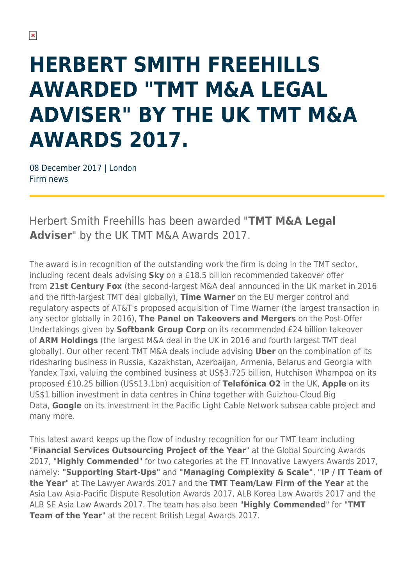## **HERBERT SMITH FREEHILLS AWARDED "TMT M&A LEGAL ADVISER" BY THE UK TMT M&A AWARDS 2017.**

08 December 2017 | London Firm news

Herbert Smith Freehills has been awarded "**TMT M&A Legal Adviser**" by the UK TMT M&A Awards 2017.

The award is in recognition of the outstanding work the firm is doing in the TMT sector, including recent deals advising **Sky** on a £18.5 billion recommended takeover offer from **21st Century Fox** (the second-largest M&A deal announced in the UK market in 2016 and the fifth-largest TMT deal globally), **Time Warner** on the EU merger control and regulatory aspects of AT&T's proposed acquisition of Time Warner (the largest transaction in any sector globally in 2016), **The Panel on Takeovers and Mergers** on the Post-Offer Undertakings given by **Softbank Group Corp** on its recommended £24 billion takeover of **ARM Holdings** (the largest M&A deal in the UK in 2016 and fourth largest TMT deal globally). Our other recent TMT M&A deals include advising **Uber** on the combination of its ridesharing business in Russia, Kazakhstan, Azerbaijan, Armenia, Belarus and Georgia with Yandex Taxi, valuing the combined business at US\$3.725 billion, Hutchison Whampoa on its proposed £10.25 billion (US\$13.1bn) acquisition of **Telefónica O2** in the UK, **Apple** on its US\$1 billion investment in data centres in China together with Guizhou-Cloud Big Data, **Google** on its investment in the Pacific Light Cable Network subsea cable project and many more.

This latest award keeps up the flow of industry recognition for our TMT team including "**Financial Services Outsourcing Project of the Year**" at the Global Sourcing Awards 2017, "**Highly Commended**" for two categories at the FT Innovative Lawyers Awards 2017, namely: **"Supporting Start-Ups"** and **"Managing Complexity & Scale"**, "**IP / IT Team of the Year**" at The Lawyer Awards 2017 and the **TMT Team/Law Firm of the Year** at the Asia Law Asia-Pacific Dispute Resolution Awards 2017, ALB Korea Law Awards 2017 and the ALB SE Asia Law Awards 2017. The team has also been "**Highly Commended**" for "**TMT Team of the Year**" at the recent British Legal Awards 2017.